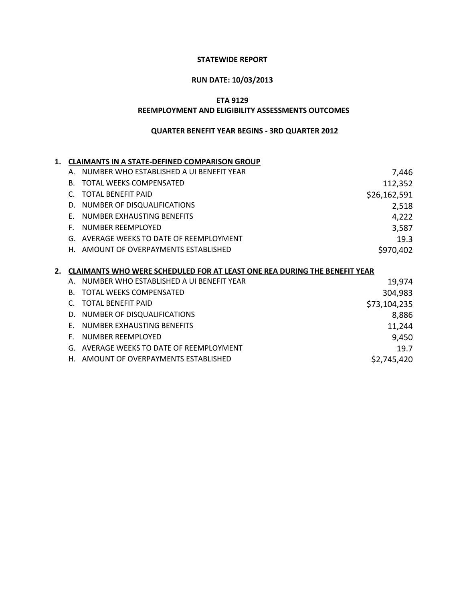### **STATEWIDE REPORT**

# **RUN DATE: 10/03/2013**

**ETA 9129**

#### **REEMPLOYMENT AND ELIGIBILITY ASSESSMENTS OUTCOMES**

| 1.          |           | <b>CLAIMANTS IN A STATE-DEFINED COMPARISON GROUP</b>                             |              |
|-------------|-----------|----------------------------------------------------------------------------------|--------------|
|             | Α.        | NUMBER WHO ESTABLISHED A UI BENEFIT YEAR                                         | 7,446        |
|             | В.        | TOTAL WEEKS COMPENSATED                                                          | 112,352      |
|             | C.        | <b>TOTAL BENEFIT PAID</b>                                                        | \$26,162,591 |
|             | D.        | NUMBER OF DISQUALIFICATIONS                                                      | 2,518        |
|             | F.        | NUMBER EXHAUSTING BENEFITS                                                       | 4,222        |
|             | F.        | <b>NUMBER REEMPLOYED</b>                                                         | 3,587        |
|             | G.        | AVERAGE WEEKS TO DATE OF REEMPLOYMENT                                            | 19.3         |
|             | Н.        | AMOUNT OF OVERPAYMENTS ESTABLISHED                                               | \$970,402    |
|             |           |                                                                                  |              |
|             |           |                                                                                  |              |
| $2_{\cdot}$ |           | <b>CLAIMANTS WHO WERE SCHEDULED FOR AT LEAST ONE REA DURING THE BENEFIT YEAR</b> |              |
|             | Α.        | NUMBER WHO ESTABLISHED A UI BENEFIT YEAR                                         | 19,974       |
|             | <b>B.</b> | <b>TOTAL WEEKS COMPENSATED</b>                                                   | 304,983      |
|             | C.        | <b>TOTAL BENEFIT PAID</b>                                                        | \$73,104,235 |
|             | D.        | NUMBER OF DISQUALIFICATIONS                                                      | 8,886        |
|             | F.        | NUMBER EXHAUSTING BENEFITS                                                       | 11,244       |
|             | F.        | NUMBER REEMPLOYED                                                                | 9,450        |
|             | G.        | AVERAGE WEEKS TO DATE OF REEMPLOYMENT                                            | 19.7         |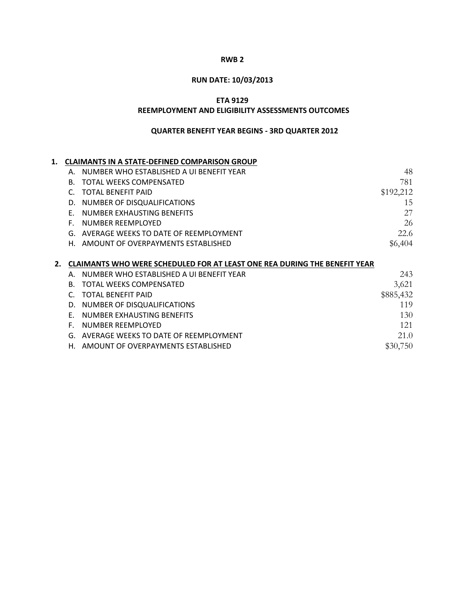# **RUN DATE: 10/03/2013**

**ETA 9129**

#### **REEMPLOYMENT AND ELIGIBILITY ASSESSMENTS OUTCOMES**

| 1. | <b>CLAIMANTS IN A STATE-DEFINED COMPARISON GROUP</b>                             |           |
|----|----------------------------------------------------------------------------------|-----------|
|    | NUMBER WHO ESTABLISHED A UI BENEFIT YEAR<br>А.                                   | 48        |
|    | <b>TOTAL WEEKS COMPENSATED</b><br><b>B.</b>                                      | 781       |
|    | <b>TOTAL BENEFIT PAID</b>                                                        | \$192,212 |
|    | NUMBER OF DISQUALIFICATIONS<br>D.                                                | 15        |
|    | NUMBER EXHAUSTING BENEFITS<br>F.                                                 | 27        |
|    | NUMBER REEMPLOYED<br>F.                                                          | 26        |
|    | AVERAGE WEEKS TO DATE OF REEMPLOYMENT<br>G.                                      | 22.6      |
|    | AMOUNT OF OVERPAYMENTS ESTABLISHED<br>Н.                                         | \$6,404   |
|    |                                                                                  |           |
| 2. | <b>CLAIMANTS WHO WERE SCHEDULED FOR AT LEAST ONE REA DURING THE BENEFIT YEAR</b> |           |
|    | NUMBER WHO ESTABLISHED A UI BENEFIT YEAR<br>Α.                                   | 243       |
|    | <b>TOTAL WEEKS COMPENSATED</b><br><b>B.</b>                                      | 3,621     |
|    | <b>TOTAL BENEFIT PAID</b>                                                        | \$885,432 |
|    | NUMBER OF DISQUALIFICATIONS<br>D.                                                | 119       |
|    | NUMBER EXHAUSTING BENEFITS<br>F.                                                 | 130       |
|    | <b>NUMBER REEMPLOYED</b><br>F.                                                   | 121       |
|    | AVERAGE WEEKS TO DATE OF REEMPLOYMENT<br>G.                                      | 21.0      |
|    | AMOUNT OF OVERPAYMENTS ESTABLISHED<br>Н.                                         | \$30,750  |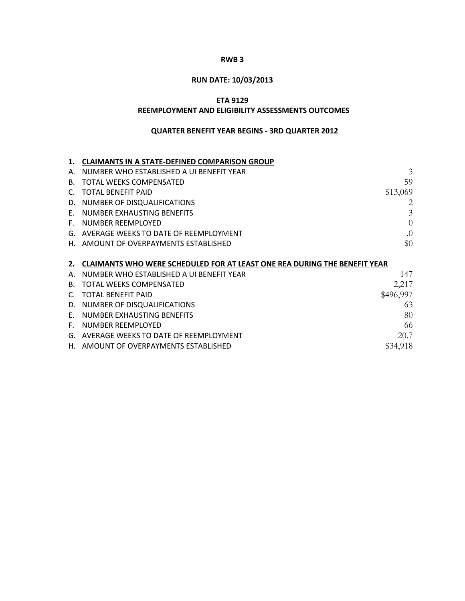# **RUN DATE: 10/03/2013**

## **ETA 9129**

#### **REEMPLOYMENT AND ELIGIBILITY ASSESSMENTS OUTCOMES**

|    | <b>CLAIMANTS IN A STATE-DEFINED COMPARISON GROUP</b>                             |           |
|----|----------------------------------------------------------------------------------|-----------|
| А. | NUMBER WHO ESTABLISHED A UI BENEFIT YEAR                                         | 3         |
| B. | TOTAL WEEKS COMPENSATED                                                          | 59        |
|    | <b>TOTAL BENEFIT PAID</b>                                                        | \$13,069  |
| D. | NUMBER OF DISQUALIFICATIONS                                                      | 2         |
| F. | NUMBER EXHAUSTING BENEFITS                                                       | 3         |
| F. | NUMBER REEMPLOYED                                                                | $\Omega$  |
|    | G. AVERAGE WEEKS TO DATE OF REEMPLOYMENT                                         | .0        |
|    | H. AMOUNT OF OVERPAYMENTS ESTABLISHED                                            | \$0       |
|    |                                                                                  |           |
|    |                                                                                  |           |
| 2. | <b>CLAIMANTS WHO WERE SCHEDULED FOR AT LEAST ONE REA DURING THE BENEFIT YEAR</b> |           |
| Α. | NUMBER WHO ESTABLISHED A UI BENEFIT YEAR                                         | 147       |
| В. | TOTAL WEEKS COMPENSATED                                                          | 2,217     |
|    | <b>TOTAL BENEFIT PAID</b>                                                        | \$496,997 |
| D. | NUMBER OF DISQUALIFICATIONS                                                      | 63        |
| F. | NUMBER EXHAUSTING BENEFITS                                                       | 80        |
| F. | NUMBER REEMPLOYED                                                                | 66        |
|    | G. AVERAGE WEEKS TO DATE OF REEMPLOYMENT                                         | 20.7      |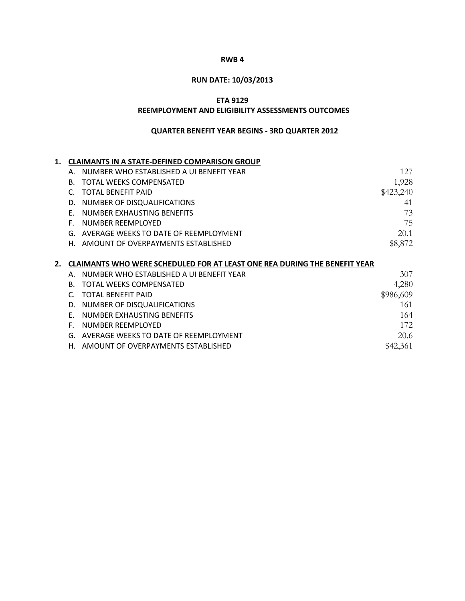# **RUN DATE: 10/03/2013**

## **ETA 9129**

#### **REEMPLOYMENT AND ELIGIBILITY ASSESSMENTS OUTCOMES**

| 1. |    | <b>CLAIMANTS IN A STATE-DEFINED COMPARISON GROUP</b>                      |           |
|----|----|---------------------------------------------------------------------------|-----------|
|    | Α. | NUMBER WHO ESTABLISHED A UI BENEFIT YEAR                                  | 127       |
|    | B. | <b>TOTAL WEEKS COMPENSATED</b>                                            | 1,928     |
|    | C. | <b>TOTAL BENEFIT PAID</b>                                                 | \$423,240 |
|    | D. | NUMBER OF DISQUALIFICATIONS                                               | 41        |
|    | F. | NUMBER EXHAUSTING BENEFITS                                                | 73        |
|    | Е. | NUMBER REEMPLOYED                                                         | 75        |
|    | G. | AVERAGE WEEKS TO DATE OF REEMPLOYMENT                                     | 20.1      |
|    | Н. | AMOUNT OF OVERPAYMENTS ESTABLISHED                                        | \$8,872   |
|    |    |                                                                           |           |
|    |    |                                                                           |           |
| 2. |    | CLAIMANTS WHO WERE SCHEDULED FOR AT LEAST ONE REA DURING THE BENEFIT YEAR |           |
|    | Α. | NUMBER WHO ESTABLISHED A UI BENEFIT YEAR                                  | 307       |
|    | B. | <b>TOTAL WEEKS COMPENSATED</b>                                            | 4,280     |
|    | C  | <b>TOTAL BENEFIT PAID</b>                                                 | \$986,609 |
|    | D. | NUMBER OF DISQUALIFICATIONS                                               | 161       |
|    | F. | NUMBER EXHAUSTING BENEFITS                                                | 164       |
|    | F. | NUMBER REEMPLOYED                                                         | 172       |
|    | G. | AVERAGE WEEKS TO DATE OF REEMPLOYMENT                                     | 20.6      |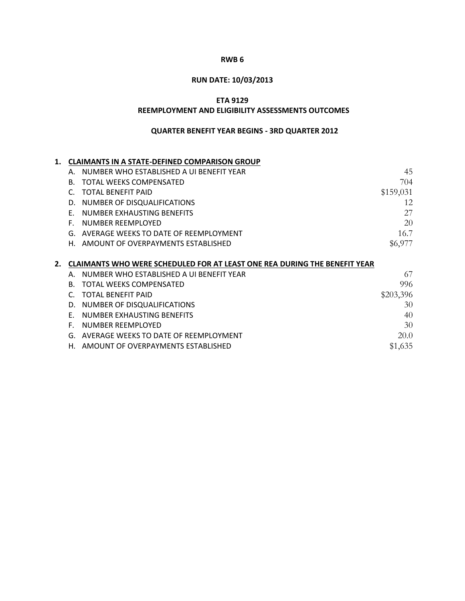# **RUN DATE: 10/03/2013**

## **ETA 9129**

#### **REEMPLOYMENT AND ELIGIBILITY ASSESSMENTS OUTCOMES**

| 1. |    | <b>CLAIMANTS IN A STATE-DEFINED COMPARISON GROUP</b>                      |           |
|----|----|---------------------------------------------------------------------------|-----------|
|    | Α. | NUMBER WHO ESTABLISHED A UI BENEFIT YEAR                                  | 45        |
|    | B. | <b>TOTAL WEEKS COMPENSATED</b>                                            | 704       |
|    | C. | <b>TOTAL BENEFIT PAID</b>                                                 | \$159,031 |
|    | D. | NUMBER OF DISQUALIFICATIONS                                               | 12        |
|    | F. | NUMBER EXHAUSTING BENEFITS                                                | 27        |
|    | F. | NUMBER REEMPLOYED                                                         | 20        |
|    | G. | AVERAGE WEEKS TO DATE OF REEMPLOYMENT                                     | 16.7      |
|    | Н. | AMOUNT OF OVERPAYMENTS ESTABLISHED                                        | \$6,977   |
|    |    |                                                                           |           |
|    |    |                                                                           |           |
| 2. |    | CLAIMANTS WHO WERE SCHEDULED FOR AT LEAST ONE REA DURING THE BENEFIT YEAR |           |
|    | Α. | NUMBER WHO ESTABLISHED A UI BENEFIT YEAR                                  | 67        |
|    | B. | <b>TOTAL WEEKS COMPENSATED</b>                                            | 996       |
|    | C  | <b>TOTAL BENEFIT PAID</b>                                                 | \$203,396 |
|    | D. | NUMBER OF DISQUALIFICATIONS                                               | 30        |
|    | F. | NUMBER EXHAUSTING BENEFITS                                                | 40        |
|    | F. | NUMBER REEMPLOYED                                                         | 30        |
|    | G. | AVERAGE WEEKS TO DATE OF REEMPLOYMENT                                     | 20.0      |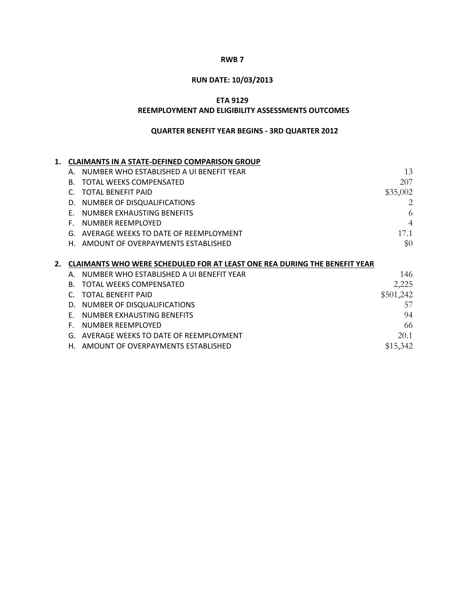# **RUN DATE: 10/03/2013**

## **ETA 9129**

#### **REEMPLOYMENT AND ELIGIBILITY ASSESSMENTS OUTCOMES**

| 1. |    | <b>CLAIMANTS IN A STATE-DEFINED COMPARISON GROUP</b>                      |                |
|----|----|---------------------------------------------------------------------------|----------------|
|    | Α. | NUMBER WHO ESTABLISHED A UI BENEFIT YEAR                                  | 13             |
|    | B. | <b>TOTAL WEEKS COMPENSATED</b>                                            | 207            |
|    |    | <b>TOTAL BENEFIT PAID</b>                                                 | \$35,002       |
|    | D. | NUMBER OF DISQUALIFICATIONS                                               | 2              |
|    | F. | NUMBER EXHAUSTING BENEFITS                                                | 6              |
|    | F. | NUMBER REEMPLOYED                                                         | $\overline{4}$ |
|    | G. | AVERAGE WEEKS TO DATE OF REEMPLOYMENT                                     | 17.1           |
|    | Н. | AMOUNT OF OVERPAYMENTS ESTABLISHED                                        | \$0            |
|    |    |                                                                           |                |
|    |    |                                                                           |                |
| 2. |    | CLAIMANTS WHO WERE SCHEDULED FOR AT LEAST ONE REA DURING THE BENEFIT YEAR |                |
|    | Α. | NUMBER WHO ESTABLISHED A UI BENEFIT YEAR                                  | 146            |
|    | B. | <b>TOTAL WEEKS COMPENSATED</b>                                            | 2,225          |
|    |    | <b>TOTAL BENEFIT PAID</b>                                                 | \$501,242      |
|    | D. | NUMBER OF DISQUALIFICATIONS                                               | 57             |
|    | F. | NUMBER EXHAUSTING BENEFITS                                                | 94             |
|    | F. | NUMBER REEMPLOYED                                                         | 66             |
|    | G. | AVERAGE WEEKS TO DATE OF REEMPLOYMENT                                     | 20.1           |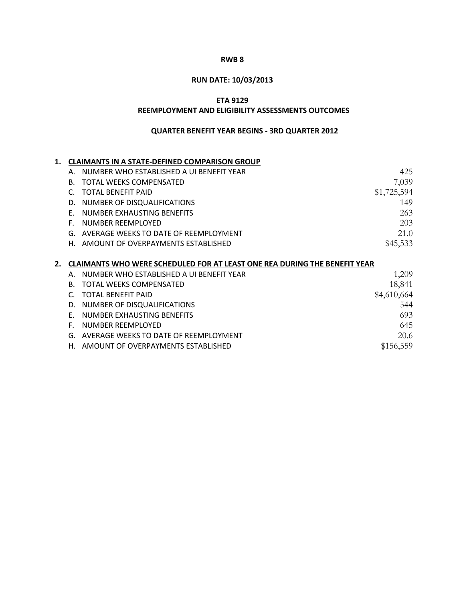# **RUN DATE: 10/03/2013**

## **ETA 9129**

#### **REEMPLOYMENT AND ELIGIBILITY ASSESSMENTS OUTCOMES**

| 1. |    | <b>CLAIMANTS IN A STATE-DEFINED COMPARISON GROUP</b>                      |             |
|----|----|---------------------------------------------------------------------------|-------------|
|    | Α. | NUMBER WHO ESTABLISHED A UI BENEFIT YEAR                                  | 425         |
|    | В. | TOTAL WEEKS COMPENSATED                                                   | 7,039       |
|    | C. | <b>TOTAL BENEFIT PAID</b>                                                 | \$1,725,594 |
|    | D. | NUMBER OF DISQUALIFICATIONS                                               | 149         |
|    | F. | NUMBER EXHAUSTING BENEFITS                                                | 263         |
|    | F. | NUMBER REEMPLOYED                                                         | 203         |
|    | G. | AVERAGE WEEKS TO DATE OF REEMPLOYMENT                                     | 21.0        |
|    | Н. | AMOUNT OF OVERPAYMENTS ESTABLISHED                                        | \$45,533    |
|    |    |                                                                           |             |
| 2. |    | CLAIMANTS WHO WERE SCHEDULED FOR AT LEAST ONE REA DURING THE BENEFIT YEAR |             |
|    | Α. | NUMBER WHO ESTABLISHED A UI BENEFIT YEAR                                  | 1,209       |
|    | B. | <b>TOTAL WEEKS COMPENSATED</b>                                            | 18,841      |
|    | C. | <b>TOTAL BENEFIT PAID</b>                                                 | \$4,610,664 |
|    | D. | NUMBER OF DISQUALIFICATIONS                                               | 544         |
|    | F. | NUMBER EXHAUSTING BENEFITS                                                | 693         |
|    | Е. | NUMBER REEMPLOYED                                                         | 645         |
|    |    |                                                                           |             |
|    | G. | AVERAGE WEEKS TO DATE OF REEMPLOYMENT                                     | 20.6        |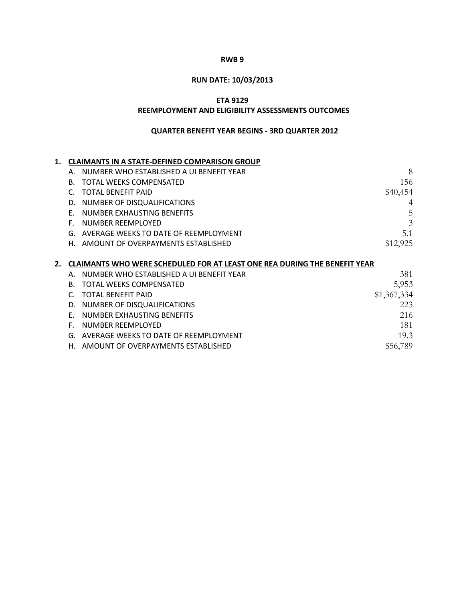# **RUN DATE: 10/03/2013**

## **ETA 9129**

#### **REEMPLOYMENT AND ELIGIBILITY ASSESSMENTS OUTCOMES**

| 1. |    | <b>CLAIMANTS IN A STATE-DEFINED COMPARISON GROUP</b>                             |             |
|----|----|----------------------------------------------------------------------------------|-------------|
|    | Α. | NUMBER WHO ESTABLISHED A UI BENEFIT YEAR                                         | 8           |
|    | В. | <b>TOTAL WEEKS COMPENSATED</b>                                                   | 156         |
|    | C. | <b>TOTAL BENEFIT PAID</b>                                                        | \$40,454    |
|    | D. | NUMBER OF DISQUALIFICATIONS                                                      |             |
|    | F. | NUMBER EXHAUSTING BENEFITS                                                       | 5           |
|    | F. | NUMBER REEMPLOYED                                                                | 3           |
|    | G. | AVERAGE WEEKS TO DATE OF REEMPLOYMENT                                            | 5.1         |
|    | Н. | AMOUNT OF OVERPAYMENTS ESTABLISHED                                               | \$12,925    |
|    |    |                                                                                  |             |
| 2. |    | <b>CLAIMANTS WHO WERE SCHEDULED FOR AT LEAST ONE REA DURING THE BENEFIT YEAR</b> |             |
|    | Α. |                                                                                  |             |
|    |    | NUMBER WHO ESTABLISHED A UI BENEFIT YEAR                                         | 381         |
|    | B. | <b>TOTAL WEEKS COMPENSATED</b>                                                   | 5,953       |
|    | C  | <b>TOTAL BENEFIT PAID</b>                                                        | \$1,367,334 |
|    | D. | NUMBER OF DISQUALIFICATIONS                                                      | 223         |
|    | F. | NUMBER EXHAUSTING BENEFITS                                                       | 216         |
|    | F. | NUMBER REEMPLOYED                                                                | 181         |
|    | G. | AVERAGE WEEKS TO DATE OF REEMPLOYMENT                                            | 19.3        |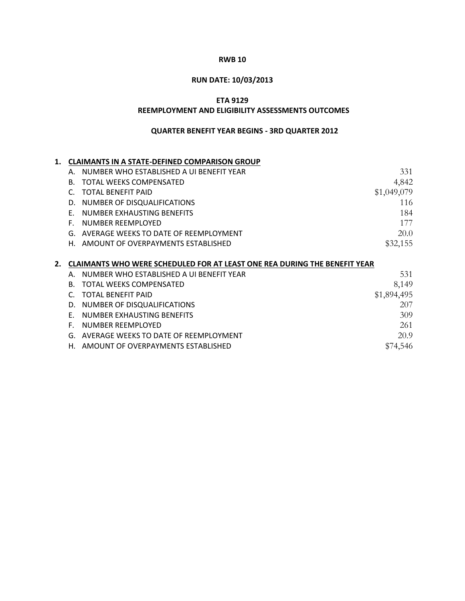## **RUN DATE: 10/03/2013**

## **ETA 9129**

#### **REEMPLOYMENT AND ELIGIBILITY ASSESSMENTS OUTCOMES**

| 1. |    | <b>CLAIMANTS IN A STATE-DEFINED COMPARISON GROUP</b>                             |             |
|----|----|----------------------------------------------------------------------------------|-------------|
|    | Α. | NUMBER WHO ESTABLISHED A UI BENEFIT YEAR                                         | 331         |
|    | B. | TOTAL WEEKS COMPENSATED                                                          | 4,842       |
|    | C. | <b>TOTAL BENEFIT PAID</b>                                                        | \$1,049,079 |
|    | D. | NUMBER OF DISQUALIFICATIONS                                                      | 116         |
|    | F. | NUMBER EXHAUSTING BENEFITS                                                       | 184         |
|    | F. | NUMBER REEMPLOYED                                                                | 177         |
|    | G. | AVERAGE WEEKS TO DATE OF REEMPLOYMENT                                            | 20.0        |
|    | Н. | AMOUNT OF OVERPAYMENTS ESTABLISHED                                               | \$32,155    |
|    |    |                                                                                  |             |
|    |    |                                                                                  |             |
| 2. |    | <b>CLAIMANTS WHO WERE SCHEDULED FOR AT LEAST ONE REA DURING THE BENEFIT YEAR</b> |             |
|    | Α. | NUMBER WHO ESTABLISHED A UI BENEFIT YEAR                                         | 531         |
|    | B. | <b>TOTAL WEEKS COMPENSATED</b>                                                   | 8,149       |
|    | C  | <b>TOTAL BENEFIT PAID</b>                                                        | \$1,894,495 |
|    | D. | NUMBER OF DISQUALIFICATIONS                                                      | 207         |
|    | F. | NUMBER EXHAUSTING BENEFITS                                                       | 309         |
|    | F. | NUMBER REEMPLOYED                                                                | 261         |
|    | G. | AVERAGE WEEKS TO DATE OF REEMPLOYMENT                                            | 20.9        |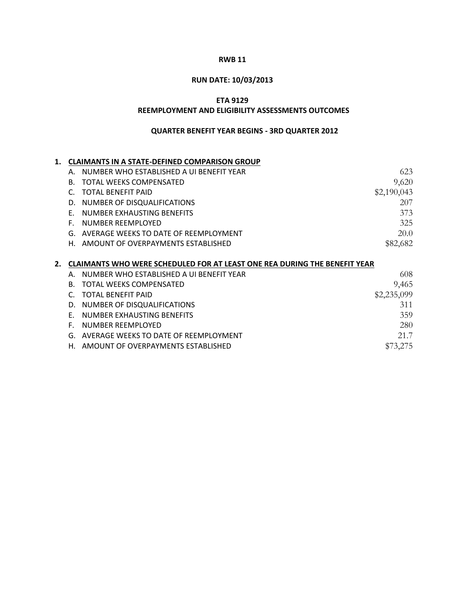#### **RUN DATE: 10/03/2013**

### **ETA 9129**

#### **REEMPLOYMENT AND ELIGIBILITY ASSESSMENTS OUTCOMES**

| 1. |    | <b>CLAIMANTS IN A STATE-DEFINED COMPARISON GROUP</b>                             |             |
|----|----|----------------------------------------------------------------------------------|-------------|
|    | А. | NUMBER WHO ESTABLISHED A UI BENEFIT YEAR                                         | 623         |
|    | В. | <b>TOTAL WEEKS COMPENSATED</b>                                                   | 9,620       |
|    | C. | <b>TOTAL BENEFIT PAID</b>                                                        | \$2,190,043 |
|    | D. | NUMBER OF DISQUALIFICATIONS                                                      | 207         |
|    | F. | NUMBER EXHAUSTING BENEFITS                                                       | 373         |
|    | F. | NUMBER REEMPLOYED                                                                | 325         |
|    | G. | AVERAGE WEEKS TO DATE OF REEMPLOYMENT                                            | 20.0        |
|    | Н. | AMOUNT OF OVERPAYMENTS ESTABLISHED                                               | \$82,682    |
|    |    |                                                                                  |             |
| 2. |    | <b>CLAIMANTS WHO WERE SCHEDULED FOR AT LEAST ONE REA DURING THE BENEFIT YEAR</b> |             |
|    | Α. | NUMBER WHO ESTABLISHED A UI BENEFIT YEAR                                         | 608         |
|    | B. | <b>TOTAL WEEKS COMPENSATED</b>                                                   | 9,465       |
|    | C  | <b>TOTAL BENEFIT PAID</b>                                                        | \$2,235,099 |
|    | D. | NUMBER OF DISQUALIFICATIONS                                                      | 311         |
|    | F. | NUMBER EXHAUSTING BENEFITS                                                       | 359         |
|    | F. | NUMBER REEMPLOYED                                                                | 280         |
|    | G. | AVERAGE WEEKS TO DATE OF REEMPLOYMENT                                            | 21.7        |
|    | Н. | AMOUNT OF OVERPAYMENTS ESTABLISHED                                               | \$73,275    |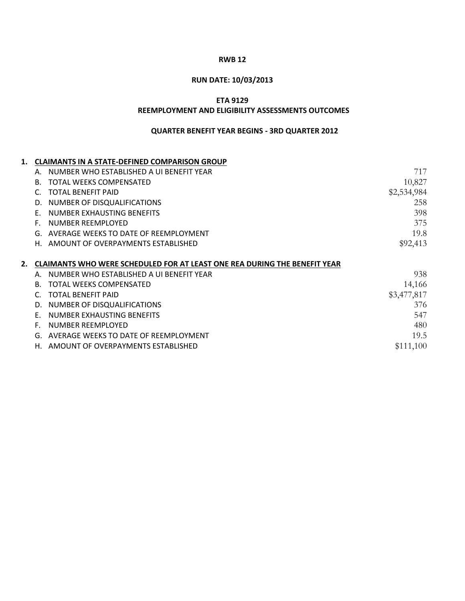# **RUN DATE: 10/03/2013**

**ETA 9129**

#### **REEMPLOYMENT AND ELIGIBILITY ASSESSMENTS OUTCOMES**

| <b>CLAIMANTS IN A STATE-DEFINED COMPARISON GROUP</b>                             |             |
|----------------------------------------------------------------------------------|-------------|
| NUMBER WHO ESTABLISHED A UI BENEFIT YEAR<br>А.                                   | 717         |
| TOTAL WEEKS COMPENSATED<br>В.                                                    | 10,827      |
| TOTAL BENEFIT PAID                                                               | \$2,534,984 |
| NUMBER OF DISQUALIFICATIONS<br>D.                                                | 258         |
| NUMBER EXHAUSTING BENEFITS                                                       | 398         |
| NUMBER REEMPLOYED                                                                | 375         |
| AVERAGE WEEKS TO DATE OF REEMPLOYMENT<br>G.                                      | 19.8        |
| AMOUNT OF OVERPAYMENTS ESTABLISHED<br>Н.                                         | \$92,413    |
|                                                                                  |             |
| <b>CLAIMANTS WHO WERE SCHEDULED FOR AT LEAST ONE REA DURING THE BENEFIT YEAR</b> |             |
| NUMBER WHO ESTABLISHED A UI BENEFIT YEAR                                         | 938         |
| <b>TOTAL WEEKS COMPENSATED</b><br>B.                                             | 14,166      |
| <b>TOTAL BENEFIT PAID</b>                                                        | \$3,477,817 |
| NUMBER OF DISQUALIFICATIONS<br>D.                                                | 376         |
| NUMBER EXHAUSTING BENEFITS                                                       | 547         |
| NUMBER REEMPLOYED                                                                | 480         |
| AVERAGE WEEKS TO DATE OF REEMPLOYMENT<br>G.                                      | 19.5        |
| AMOUNT OF OVERPAYMENTS ESTABLISHED<br>Н.                                         | \$111,100   |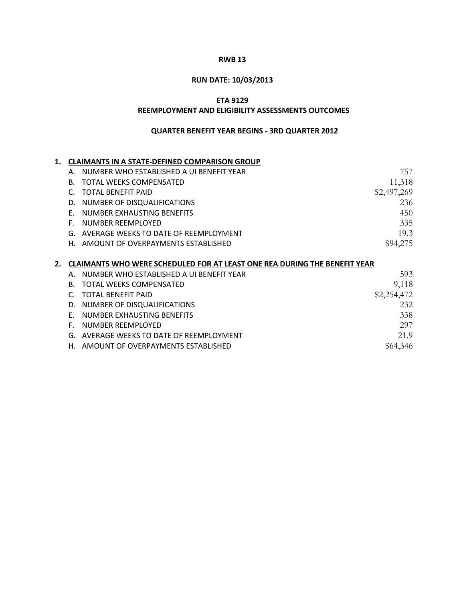# **RUN DATE: 10/03/2013**

### **ETA 9129**

#### **REEMPLOYMENT AND ELIGIBILITY ASSESSMENTS OUTCOMES**

| 1. |    | <b>CLAIMANTS IN A STATE-DEFINED COMPARISON GROUP</b>                      |             |
|----|----|---------------------------------------------------------------------------|-------------|
|    | Α. | NUMBER WHO ESTABLISHED A UI BENEFIT YEAR                                  | 757         |
|    | B. | <b>TOTAL WEEKS COMPENSATED</b>                                            | 11,318      |
|    | C. | <b>TOTAL BENEFIT PAID</b>                                                 | \$2,497,269 |
|    | D. | NUMBER OF DISQUALIFICATIONS                                               | 236         |
|    | F. | NUMBER EXHAUSTING BENEFITS                                                | 450         |
|    | Е. | NUMBER REEMPLOYED                                                         | 335         |
|    | G. | AVERAGE WEEKS TO DATE OF REEMPLOYMENT                                     | 19.3        |
|    | Н. | AMOUNT OF OVERPAYMENTS ESTABLISHED                                        | \$94,275    |
|    |    |                                                                           |             |
|    |    |                                                                           |             |
| 2. |    | CLAIMANTS WHO WERE SCHEDULED FOR AT LEAST ONE REA DURING THE BENEFIT YEAR |             |
|    | Α. | NUMBER WHO ESTABLISHED A UI BENEFIT YEAR                                  | 593         |
|    | B. | <b>TOTAL WEEKS COMPENSATED</b>                                            | 9,118       |
|    | C  | <b>TOTAL BENEFIT PAID</b>                                                 | \$2,254,472 |
|    | D. | NUMBER OF DISQUALIFICATIONS                                               | 232         |
|    | F. | NUMBER EXHAUSTING BENEFITS                                                | 338         |
|    | F. | NUMBER REEMPLOYED                                                         | 297         |
|    | G. | AVERAGE WEEKS TO DATE OF REEMPLOYMENT                                     | 21.9        |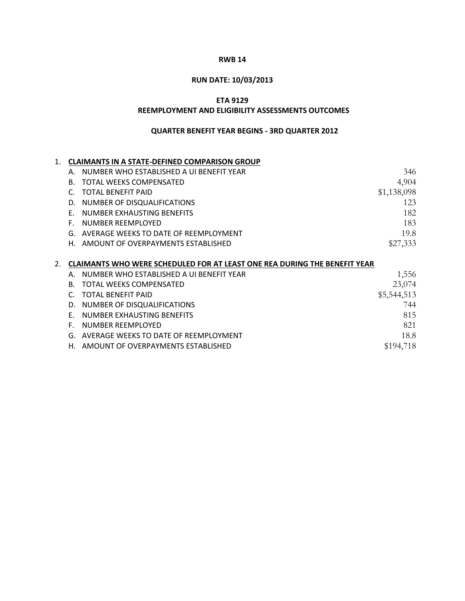# **RUN DATE: 10/03/2013**

### **ETA 9129**

#### **REEMPLOYMENT AND ELIGIBILITY ASSESSMENTS OUTCOMES**

| 1.               |    | <b>CLAIMANTS IN A STATE-DEFINED COMPARISON GROUP</b>                             |             |
|------------------|----|----------------------------------------------------------------------------------|-------------|
|                  | Α. | NUMBER WHO ESTABLISHED A UI BENEFIT YEAR                                         | 346         |
|                  | B. | TOTAL WEEKS COMPENSATED                                                          | 4,904       |
|                  |    | <b>TOTAL BENEFIT PAID</b>                                                        | \$1,138,098 |
|                  | D. | NUMBER OF DISQUALIFICATIONS                                                      | 123         |
|                  | F. | NUMBER EXHAUSTING BENEFITS                                                       | 182         |
|                  | F. | NUMBER REEMPLOYED                                                                | 183         |
|                  | G. | AVERAGE WEEKS TO DATE OF REEMPLOYMENT                                            | 19.8        |
|                  | Н. | AMOUNT OF OVERPAYMENTS ESTABLISHED                                               | \$27,333    |
|                  |    |                                                                                  |             |
| $\overline{2}$ . |    | <b>CLAIMANTS WHO WERE SCHEDULED FOR AT LEAST ONE REA DURING THE BENEFIT YEAR</b> |             |
|                  | Α. | NUMBER WHO ESTABLISHED A UI BENEFIT YEAR                                         | 1,556       |
|                  | B. | TOTAL WEEKS COMPENSATED                                                          | 23,074      |
|                  | C  | <b>TOTAL BENEFIT PAID</b>                                                        | \$5,544,513 |
|                  | D. | NUMBER OF DISQUALIFICATIONS                                                      | 744         |
|                  | F. | NUMBER EXHAUSTING BENEFITS                                                       |             |
|                  |    |                                                                                  | 815         |
|                  | F. | NUMBER REEMPLOYED                                                                | 821         |
|                  | G. | AVERAGE WEEKS TO DATE OF REEMPLOYMENT                                            | 18.8        |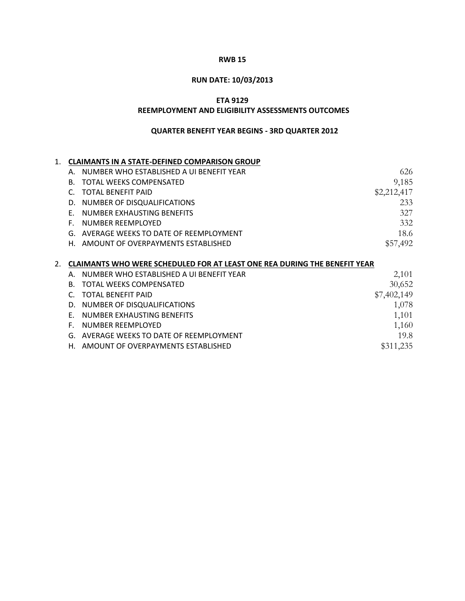# **RUN DATE: 10/03/2013**

### **ETA 9129**

#### **REEMPLOYMENT AND ELIGIBILITY ASSESSMENTS OUTCOMES**

| 1. |    | <b>CLAIMANTS IN A STATE-DEFINED COMPARISON GROUP</b>                             |             |
|----|----|----------------------------------------------------------------------------------|-------------|
|    | Α. | NUMBER WHO ESTABLISHED A UI BENEFIT YEAR                                         | 626         |
|    | В. | TOTAL WEEKS COMPENSATED                                                          | 9,185       |
|    | C. | <b>TOTAL BENEFIT PAID</b>                                                        | \$2,212,417 |
|    | D. | NUMBER OF DISQUALIFICATIONS                                                      | 233         |
|    | F. | NUMBER EXHAUSTING BENEFITS                                                       | 327         |
|    | F. | NUMBER REEMPLOYED                                                                | 332         |
|    | G. | AVERAGE WEEKS TO DATE OF REEMPLOYMENT                                            | 18.6        |
|    | Н. | AMOUNT OF OVERPAYMENTS ESTABLISHED                                               | \$57,492    |
|    |    |                                                                                  |             |
| 2. |    | <b>CLAIMANTS WHO WERE SCHEDULED FOR AT LEAST ONE REA DURING THE BENEFIT YEAR</b> |             |
|    | Α. | NUMBER WHO ESTABLISHED A UI BENEFIT YEAR                                         | 2,101       |
|    | B. | <b>TOTAL WEEKS COMPENSATED</b>                                                   | 30,652      |
|    | C. | <b>TOTAL BENEFIT PAID</b>                                                        | \$7,402,149 |
|    | D. | NUMBER OF DISQUALIFICATIONS                                                      | 1,078       |
|    | F. | NUMBER EXHAUSTING BENEFITS                                                       | 1,101       |
|    | F. | NUMBER REEMPLOYED                                                                | 1,160       |
|    | G. | AVERAGE WEEKS TO DATE OF REEMPLOYMENT                                            | 19.8        |
|    | Н. | AMOUNT OF OVERPAYMENTS ESTABLISHED                                               | \$311,235   |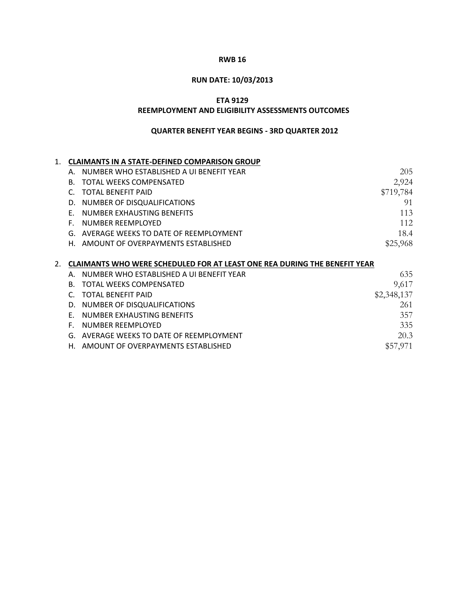# **RUN DATE: 10/03/2013**

## **ETA 9129**

#### **REEMPLOYMENT AND ELIGIBILITY ASSESSMENTS OUTCOMES**

| $\mathbf 1$ . |    | <b>CLAIMANTS IN A STATE-DEFINED COMPARISON GROUP</b>                      |             |
|---------------|----|---------------------------------------------------------------------------|-------------|
|               | Α. | NUMBER WHO ESTABLISHED A UI BENEFIT YEAR                                  | 205         |
|               | B. | <b>TOTAL WEEKS COMPENSATED</b>                                            | 2,924       |
|               | C. | <b>TOTAL BENEFIT PAID</b>                                                 | \$719,784   |
|               | D. | NUMBER OF DISQUALIFICATIONS                                               | 91          |
|               | F. | NUMBER EXHAUSTING BENEFITS                                                | 113         |
|               | Е. | NUMBER REEMPLOYED                                                         | 112         |
|               | G. | AVERAGE WEEKS TO DATE OF REEMPLOYMENT                                     | 18.4        |
|               | Н. | AMOUNT OF OVERPAYMENTS ESTABLISHED                                        | \$25,968    |
|               |    |                                                                           |             |
| 2.            |    | CLAIMANTS WHO WERE SCHEDULED FOR AT LEAST ONE REA DURING THE BENEFIT YEAR |             |
|               | Α. | NUMBER WHO ESTABLISHED A UI BENEFIT YEAR                                  | 635         |
|               | B. | <b>TOTAL WEEKS COMPENSATED</b>                                            | 9,617       |
|               |    |                                                                           |             |
|               | C  | <b>TOTAL BENEFIT PAID</b>                                                 | \$2,348,137 |
|               | D. | NUMBER OF DISQUALIFICATIONS                                               | 261         |
|               | F. | NUMBER EXHAUSTING BENEFITS                                                | 357         |
|               | F. | NUMBER REEMPLOYED                                                         | 335         |
|               | G. | AVERAGE WEEKS TO DATE OF REEMPLOYMENT                                     | 20.3        |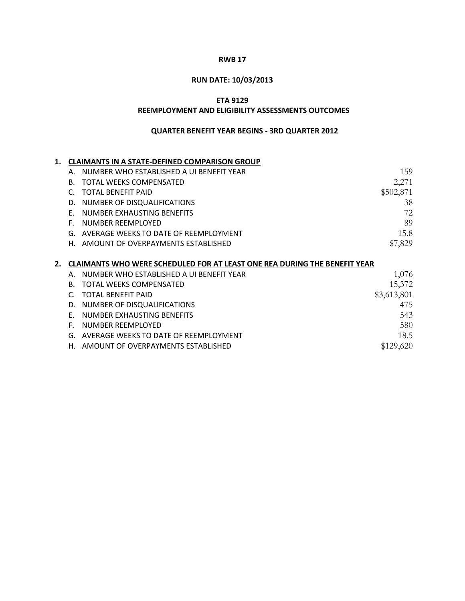# **RUN DATE: 10/03/2013**

### **ETA 9129**

#### **REEMPLOYMENT AND ELIGIBILITY ASSESSMENTS OUTCOMES**

| 1. |    | <b>CLAIMANTS IN A STATE-DEFINED COMPARISON GROUP</b>                             |             |
|----|----|----------------------------------------------------------------------------------|-------------|
|    | Α. | NUMBER WHO ESTABLISHED A UI BENEFIT YEAR                                         | 159         |
|    | B. | <b>TOTAL WEEKS COMPENSATED</b>                                                   | 2,271       |
|    |    | <b>TOTAL BENEFIT PAID</b>                                                        | \$502,871   |
|    | D. | NUMBER OF DISQUALIFICATIONS                                                      | 38          |
|    | F. | NUMBER EXHAUSTING BENEFITS                                                       | 72          |
|    | F. | NUMBER REEMPLOYED                                                                | 89          |
|    | G. | AVERAGE WEEKS TO DATE OF REEMPLOYMENT                                            | 15.8        |
|    | Н. | AMOUNT OF OVERPAYMENTS ESTABLISHED                                               | \$7,829     |
|    |    |                                                                                  |             |
|    |    |                                                                                  |             |
| 2. |    | <b>CLAIMANTS WHO WERE SCHEDULED FOR AT LEAST ONE REA DURING THE BENEFIT YEAR</b> |             |
|    | Α. | NUMBER WHO ESTABLISHED A UI BENEFIT YEAR                                         | 1,076       |
|    | B. | TOTAL WEEKS COMPENSATED                                                          | 15,372      |
|    | C  | <b>TOTAL BENEFIT PAID</b>                                                        | \$3,613,801 |
|    | D. | NUMBER OF DISQUALIFICATIONS                                                      | 475         |
|    | F. | NUMBER EXHAUSTING BENEFITS                                                       | 543         |
|    | F. | NUMBER REEMPLOYED                                                                | 580         |
|    | G. | AVERAGE WEEKS TO DATE OF REEMPLOYMENT                                            | 18.5        |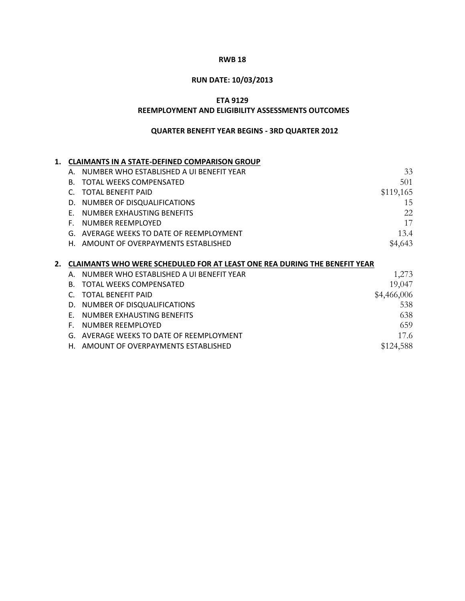# **RUN DATE: 10/03/2013**

## **ETA 9129**

#### **REEMPLOYMENT AND ELIGIBILITY ASSESSMENTS OUTCOMES**

| 1. |    | <b>CLAIMANTS IN A STATE-DEFINED COMPARISON GROUP</b>                      |             |
|----|----|---------------------------------------------------------------------------|-------------|
|    | Α. | NUMBER WHO ESTABLISHED A UI BENEFIT YEAR                                  | 33          |
|    | В. | TOTAL WEEKS COMPENSATED                                                   | 501         |
|    | C. | <b>TOTAL BENEFIT PAID</b>                                                 | \$119,165   |
|    | D. | NUMBER OF DISQUALIFICATIONS                                               | 15          |
|    | F. | NUMBER EXHAUSTING BENEFITS                                                | 22          |
|    | F. | NUMBER REEMPLOYED                                                         | 17          |
|    | G. | AVERAGE WEEKS TO DATE OF REEMPLOYMENT                                     | 13.4        |
|    | Н. | AMOUNT OF OVERPAYMENTS ESTABLISHED                                        | \$4,643     |
|    |    |                                                                           |             |
| 2. |    | CLAIMANTS WHO WERE SCHEDULED FOR AT LEAST ONE REA DURING THE BENEFIT YEAR |             |
|    |    |                                                                           |             |
|    |    | NUMBER WHO ESTABLISHED A UI BENEFIT YEAR                                  | 1,273       |
|    | B. | <b>TOTAL WEEKS COMPENSATED</b>                                            | 19,047      |
|    | C  | <b>TOTAL BENEFIT PAID</b>                                                 | \$4,466,006 |
|    | D. | NUMBER OF DISQUALIFICATIONS                                               | 538         |
|    | F. | NUMBER EXHAUSTING BENEFITS                                                | 638         |
|    | Е. | NUMBER REEMPLOYED                                                         | 659         |
|    | G. | AVERAGE WEEKS TO DATE OF REEMPLOYMENT                                     | 17.6        |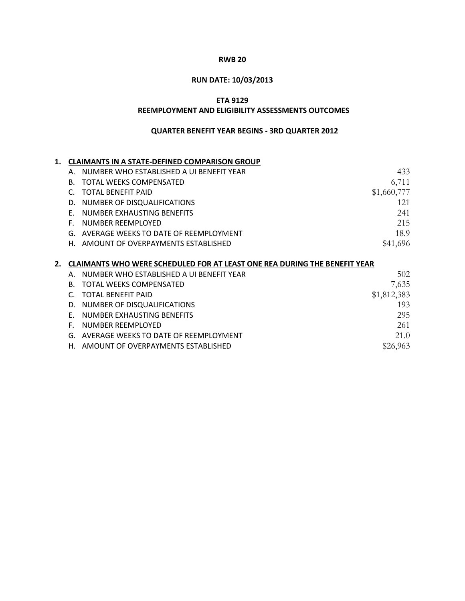# **RUN DATE: 10/03/2013**

## **ETA 9129**

#### **REEMPLOYMENT AND ELIGIBILITY ASSESSMENTS OUTCOMES**

| 1. |    | <b>CLAIMANTS IN A STATE-DEFINED COMPARISON GROUP</b>                             |             |
|----|----|----------------------------------------------------------------------------------|-------------|
|    | А. | NUMBER WHO ESTABLISHED A UI BENEFIT YEAR                                         | 433         |
|    | В. | <b>TOTAL WEEKS COMPENSATED</b>                                                   | 6,711       |
|    | C. | <b>TOTAL BENEFIT PAID</b>                                                        | \$1,660,777 |
|    | D. | NUMBER OF DISQUALIFICATIONS                                                      | 121         |
|    | F. | NUMBER EXHAUSTING BENEFITS                                                       | 241         |
|    | Е. | NUMBER REEMPLOYED                                                                | 215         |
|    | G. | AVERAGE WEEKS TO DATE OF REEMPLOYMENT                                            | 18.9        |
|    | Н. | AMOUNT OF OVERPAYMENTS ESTABLISHED                                               | \$41,696    |
|    |    |                                                                                  |             |
| 2. |    | <b>CLAIMANTS WHO WERE SCHEDULED FOR AT LEAST ONE REA DURING THE BENEFIT YEAR</b> |             |
|    | Α. | NUMBER WHO ESTABLISHED A UI BENEFIT YEAR                                         | 502         |
|    | B. | <b>TOTAL WEEKS COMPENSATED</b>                                                   | 7,635       |
|    | C. | <b>TOTAL BENEFIT PAID</b>                                                        | \$1,812,383 |
|    | D. | NUMBER OF DISQUALIFICATIONS                                                      | 193         |
|    | F. | NUMBER EXHAUSTING BENEFITS                                                       | 295         |
|    | F. | NUMBER REEMPLOYED                                                                | 261         |
|    | G. | AVERAGE WEEKS TO DATE OF REEMPLOYMENT                                            | 21.0        |
|    |    |                                                                                  |             |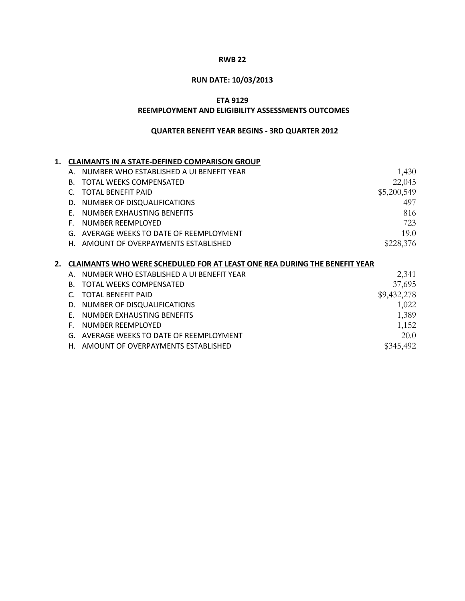# **RUN DATE: 10/03/2013**

## **ETA 9129**

#### **REEMPLOYMENT AND ELIGIBILITY ASSESSMENTS OUTCOMES**

| 1. |    | <b>CLAIMANTS IN A STATE-DEFINED COMPARISON GROUP</b>                             |             |
|----|----|----------------------------------------------------------------------------------|-------------|
|    | Α. | NUMBER WHO ESTABLISHED A UI BENEFIT YEAR                                         | 1,430       |
|    | B. | <b>TOTAL WEEKS COMPENSATED</b>                                                   | 22,045      |
|    | C. | <b>TOTAL BENEFIT PAID</b>                                                        | \$5,200,549 |
|    | D. | NUMBER OF DISQUALIFICATIONS                                                      | 497         |
|    | F. | NUMBER EXHAUSTING BENEFITS                                                       | 816         |
|    | F. | NUMBER REEMPLOYED                                                                | 723         |
|    | G. | AVERAGE WEEKS TO DATE OF REEMPLOYMENT                                            | 19.0        |
|    | Н. | AMOUNT OF OVERPAYMENTS ESTABLISHED                                               | \$228,376   |
|    |    |                                                                                  |             |
|    |    |                                                                                  |             |
| 2. |    | <b>CLAIMANTS WHO WERE SCHEDULED FOR AT LEAST ONE REA DURING THE BENEFIT YEAR</b> |             |
|    | Α. | NUMBER WHO ESTABLISHED A UI BENEFIT YEAR                                         | 2,341       |
|    | B. | TOTAL WEEKS COMPENSATED                                                          | 37,695      |
|    | C. | <b>TOTAL BENEFIT PAID</b>                                                        | \$9,432,278 |
|    | D. | NUMBER OF DISQUALIFICATIONS                                                      | 1,022       |
|    | F. | NUMBER EXHAUSTING BENEFITS                                                       | 1,389       |
|    | F. | NUMBER REEMPLOYED                                                                | 1,152       |
|    | G. | AVERAGE WEEKS TO DATE OF REEMPLOYMENT                                            | 20.0        |